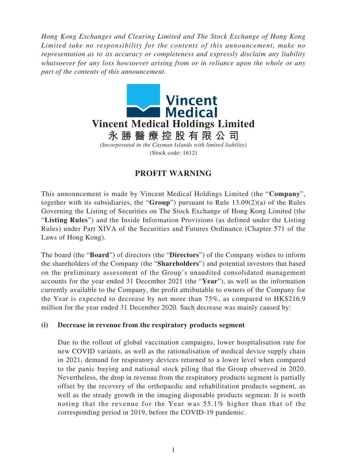*Hong Kong Exchanges and Clearing Limited and The Stock Exchange of Hong Kong Limited take no responsibility for the contents of this announcement, make no representation as to its accuracy or completeness and expressly disclaim any liability whatsoever for any loss howsoever arising from or in reliance upon the whole or any part of the contents of this announcement.*



## **PROFIT WARNING**

This announcement is made by Vincent Medical Holdings Limited (the "**Company**", together with its subsidiaries, the "**Group**") pursuant to Rule 13.09(2)(a) of the Rules Governing the Listing of Securities on The Stock Exchange of Hong Kong Limited (the "**Listing Rules**") and the Inside Information Provisions (as defined under the Listing Rules) under Part XIVA of the Securities and Futures Ordinance (Chapter 571 of the Laws of Hong Kong).

The board (the "**Board**") of directors (the "**Directors**") of the Company wishes to inform the shareholders of the Company (the "**Shareholders**") and potential investors that based on the preliminary assessment of the Group's unaudited consolidated management accounts for the year ended 31 December 2021 (the "**Year**"), as well as the information currently available to the Company, the profit attributable to owners of the Company for the Year is expected to decrease by not more than 75%, as compared to HK\$216.9 million for the year ended 31 December 2020. Such decrease was mainly caused by:

## **(i) Decrease in revenue from the respiratory products segment**

Due to the rollout of global vaccination campaigns, lower hospitalisation rate for new COVID variants, as well as the rationalisation of medical device supply chain in 2021, demand for respiratory devices returned to a lower level when compared to the panic buying and national stock piling that the Group observed in 2020. Nevertheless, the drop in revenue from the respiratory products segment is partially offset by the recovery of the orthopaedic and rehabilitation products segment, as well as the steady growth in the imaging disposable products segment. It is worth noting that the revenue for the Year was 55.1% higher than that of the corresponding period in 2019, before the COVID-19 pandemic.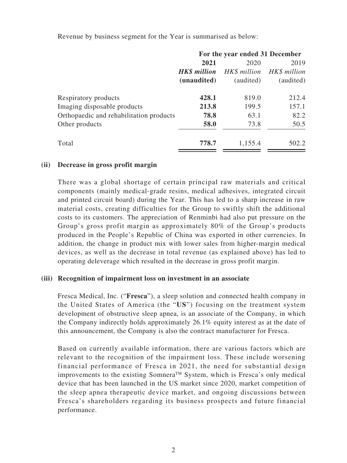Revenue by business segment for the Year is summarised as below:

|                                         | For the year ended 31 December |           |                           |
|-----------------------------------------|--------------------------------|-----------|---------------------------|
|                                         | 2021                           | 2020      | 2019                      |
|                                         | <b>HK\$</b> million            |           | HK\$ million HK\$ million |
|                                         | (unaudited)                    | (audited) | (audited)                 |
| Respiratory products                    | 428.1                          | 819.0     | 212.4                     |
| Imaging disposable products             | 213.8                          | 199.5     | 157.1                     |
| Orthopaedic and rehabilitation products | 78.8                           | 63.1      | 82.2                      |
| Other products                          | 58.0                           | 73.8      | 50.5                      |
| Total                                   | 778.7                          | 1,155.4   | 502.2                     |

## **(ii) Decrease in gross profit margin**

There was a global shortage of certain principal raw materials and critical components (mainly medical-grade resins, medical adhesives, integrated circuit and printed circuit board) during the Year. This has led to a sharp increase in raw material costs, creating difficulties for the Group to swiftly shift the additional costs to its customers. The appreciation of Renminbi had also put pressure on the Group's gross profit margin as approximately 80% of the Group's products produced in the People's Republic of China was exported in other currencies. In addition, the change in product mix with lower sales from higher-margin medical devices, as well as the decrease in total revenue (as explained above) has led to operating deleverage which resulted in the decrease in gross profit margin.

## **(iii) Recognition of impairment loss on investment in an associate**

Fresca Medical, Inc. ("**Fresca**"), a sleep solution and connected health company in the United States of America (the "**US**") focusing on the treatment system development of obstructive sleep apnea, is an associate of the Company, in which the Company indirectly holds approximately 26.1% equity interest as at the date of this announcement, the Company is also the contract manufacturer for Fresca.

Based on currently available information, there are various factors which are relevant to the recognition of the impairment loss. These include worsening financial performance of Fresca in 2021, the need for substantial design improvements to the existing Somnera<sup>TM</sup> System, which is Fresca's only medical device that has been launched in the US market since 2020, market competition of the sleep apnea therapeutic device market, and ongoing discussions between Fresca's shareholders regarding its business prospects and future financial performance.